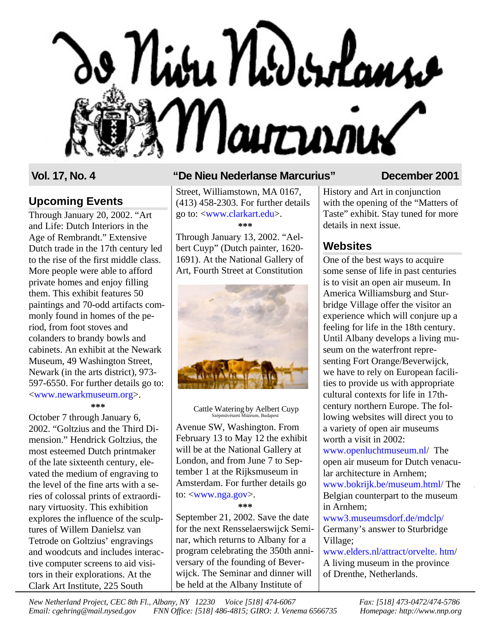# Nibu Nidordanso Mairrime

# **Upcoming Events**

Through January 20, 2002. "Art and Life: Dutch Interiors in the Age of Rembrandt." Extensive Dutch trade in the 17th century led to the rise of the first middle class. More people were able to afford private homes and enjoy filling them. This exhibit features 50 paintings and 70-odd artifacts commonly found in homes of the period, from foot stoves and colanders to brandy bowls and cabinets. An exhibit at the Newark Museum, 49 Washington Street, Newark (in the arts district), 973- 597-6550. For further details go to: [<www.newarkmuseum.org>](http://www.newarkmuseum.org). **\*\*\***

October 7 through January 6, 2002. "Goltzius and the Third Dimension." Hendrick Goltzius, the most esteemed Dutch printmaker of the late sixteenth century, elevated the medium of engraving to the level of the fine arts with a series of colossal prints of extraordinary virtuosity. This exhibition explores the influence of the sculptures of Willem Danielsz van Tetrode on Goltzius' engravings and woodcuts and includes interactive computer screens to aid visitors in their explorations. At the Clark Art Institute, 225 South

# **Vol. 17, No. 4 "De Nieu Nederlanse Marcurius" December 2001**

Street, Williamstown, MA 0167, (413) 458-2303. For further details go to: [<www.clarkart.edu>](http://www.clarkart.edu). **\*\*\***

Through January 13, 2002. "Aelbert Cuyp" (Dutch painter, 1620- 1691). At the National Gallery of Art, Fourth Street at Constitution



 Cattle Watering by Aelbert Cuyp Szépmüvészeti Múzeum, Budapes

Avenue SW, Washington. From February 13 to May 12 the exhibit will be at the National Gallery at London, and from June 7 to September 1 at the Rijksmuseum in Amsterdam. For further details go to: <[www.nga.gov>](http://www.nga.gov).

**\*\*\***

September 21, 2002. Save the date for the next Rensselaerswijck Seminar, which returns to Albany for a program celebrating the 350th anniversary of the founding of Beverwijck. The Seminar and dinner will be held at the Albany Institute of

History and Art in conjunction with the opening of the "Matters of Taste" exhibit. Stay tuned for more details in next issue.

# **Websites**

One of the best ways to acquire some sense of life in past centuries is to visit an open air museum. In America Williamsburg and Sturbridge Village offer the visitor an experience which will conjure up a feeling for life in the 18th century. Until Albany develops a living museum on the waterfront representing Fort Orange/Beverwijck, we have to rely on European facilities to provide us with appropriate cultural contexts for life in 17thcentury northern Europe. The following websites will direct you to a variety of open air museums worth a visit in 2002:

[www.openluchtmuseum.nl/](http://www.openluchtmuseum.nl) The open air museum for Dutch venacular architecture in Arnhem; [www.bokrijk.be/museum.htm](http://www.bokrijk.be/museum.html)l/ The Belgian counterpart to the museum in Arnhem;

[www3.museumsdorf.de/mdclp/](http://www3.museumsdorf.de/mdclp/) Germany's answer to Sturbridge Village;

[www.elders.nl/attract/orvelte.](http://www.elders.nl/attract/orvelte.htm) htm/ A living museum in the province of Drenthe, Netherlands.

*New Netherland Project, CEC 8th Fl., Albany, NY 12230 Voice [518] 474-6067 Fax: [518] 473-0472/474-5786 Email: cgehring@mail.nysed.gov FNN Office: [518] 486-4815; GIRO: J. Venema 6566735 Homepage: http://www.nnp.org*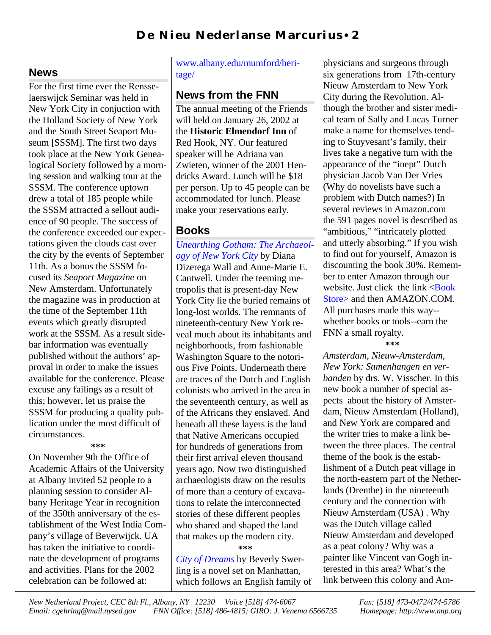# **D e N i eu N eder l an se M ar cu r i u s** • **2**

# **News**

For the first time ever the Rensselaerswijck Seminar was held in New York City in conjuction with the Holland Society of New York and the South Street Seaport Museum [SSSM]. The first two days took place at the New York Genealogical Society followed by a morning session and walking tour at the SSSM. The conference uptown drew a total of 185 people while the SSSM attracted a sellout audience of 90 people. The success of the conference exceeded our expectations given the clouds cast over the city by the events of September 11th. As a bonus the SSSM focused its *Seaport Magazine* on New Amsterdam. Unfortunately the magazine was in production at the time of the September 11th events which greatly disrupted work at the SSSM. As a result sidebar information was eventually published without the authors' approval in order to make the issues available for the conference. Please excuse any failings as a result of this; however, let us praise the SSSM for producing a quality publication under the most difficult of circumstances.

#### **\*\*\***

On November 9th the Office of Academic Affairs of the University at Albany invited 52 people to a planning session to consider Albany Heritage Year in recognition of the 350th anniversary of the establishment of the West India Company's village of Beverwijck. UA has taken the initiative to coordinate the development of programs and activities. Plans for the 2002 celebration can be followed at:

### [www.albany.edu/mumford/heri](http://www.albany.edu/mumford/heritage/)tage/

# **News from the FNN**

The annual meeting of the Friends will held on January 26, 2002 at the **Historic Elmendorf Inn** of Red Hook, NY. Our featured speaker will be Adriana van Zwieten, winner of the 2001 Hendricks Award. Lunch will be \$18 per person. Up to 45 people can be accommodated for lunch. Please make your reservations early.

## **Books**

*[Unearthing Gotham:](http://www.amazon.com/exec/obidos/ISBN=0300084153/friendsofnewnethA) The Archaeology of New York City* by Diana Dizerega Wall and Anne-Marie E. Cantwell. Under the teeming metropolis that is present-day New York City lie the buried remains of long-lost worlds. The remnants of nineteenth-century New York reveal much about its inhabitants and neighborhoods, from fashionable Washington Square to the notorious Five Points. Underneath there are traces of the Dutch and English colonists who arrived in the area in the seventeenth century, as well as of the Africans they enslaved. And beneath all these layers is the land that Native Americans occupied for hundreds of generations from their first arrival eleven thousand years ago. Now two distinguished archaeologists draw on the results of more than a century of excavations to relate the interconnected stories of these different peoples who shared and shaped the land that makes up the modern city.

**\*\*\***

*City of [Dreams](http://www.amazon.com/exec/obidos/ISBN=0684871726/friendsofnewnethA)* by Beverly Swerling is a novel set on Manhattan, which follows an English family of physicians and surgeons through six generations from 17th-century Nieuw Amsterdam to New York City during the Revolution. Although the brother and sister medical team of Sally and Lucas Turner make a name for themselves tending to Stuyvesant's family, their lives take a negative turn with the appearance of the "inept" Dutch physician Jacob Van Der Vries (Why do novelists have such a problem with Dutch names?) In several reviews in Amazon.com the 591 pages novel is described as "ambitious," "intricately plotted and utterly absorbing." If you wish to find out for yourself, Amazon is discounting the book 30%. Remember to enter Amazon through our website. Just click the link  $\langle \text{Book} \rangle$ [Store> and then AMAZON.COM.](http://www.nnp.org/fnn/fnnstore/books.html) All purchases made this way- whether books or tools--earn the FNN a small royalty. **\*\*\***

*Amsterdam, Nieuw-Amsterdam, New York: Samenhangen en verbanden* by drs. W. Visscher. In this new book a number of special aspects about the history of Amsterdam, Nieuw Amsterdam (Holland), and New York are compared and the writer tries to make a link between the three places. The central theme of the book is the establishment of a Dutch peat village in the north-eastern part of the Netherlands (Drenthe) in the nineteenth century and the connection with Nieuw Amsterdam (USA) . Why was the Dutch village called Nieuw Amsterdam and developed as a peat colony? Why was a painter like Vincent van Gogh interested in this area? What's the link between this colony and Am-

*New Netherland Project, CEC 8th Fl., Albany, NY 12230 Voice [518] 474-6067 Fax: [518] 473-0472/474-5786 Email: cgehring@mail.nysed.gov FNN Office: [518] 486-4815; GIRO: J. Venema 6566735 Homepage: http://www.nnp.org*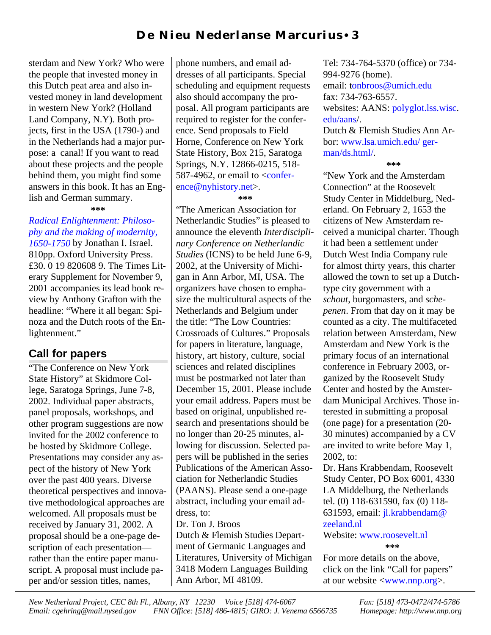sterdam and New York? Who were the people that invested money in this Dutch peat area and also invested money in land development in western New York? (Holland Land Company, N.Y). Both projects, first in the USA (1790-) and in the Netherlands had a major purpose: a canal! If you want to read about these projects and the people behind them, you might find some answers in this book. It has an English and German summary.

**\*\*\***

# *[Radical Enlightenment:](http://www.amazon.com/exec/obidos/ISBN=0198206089/friendsofnewnethA) Philosophy and the making of modernity,*

*1650-1750* by Jonathan I. Israel. 810pp. Oxford University Press. £30. 0 19 820608 9. The Times Literary Supplement for November 9, 2001 accompanies its lead book review by Anthony Grafton with the headline: "Where it all began: Spinoza and the Dutch roots of the Enlightenment."

# **Call for papers**

"The Conference on New York State History" at Skidmore College, Saratoga Springs, June 7-8, 2002. Individual paper abstracts, panel proposals, workshops, and other program suggestions are now invited for the 2002 conference to be hosted by Skidmore College. Presentations may consider any aspect of the history of New York over the past 400 years. Diverse theoretical perspectives and innovative methodological approaches are welcomed. All proposals must be received by January 31, 2002. A proposal should be a one-page description of each presentation rather than the entire paper manuscript. A proposal must include paper and/or session titles, names,

phone numbers, and email addresses of all participants. Special scheduling and equipment requests also should accompany the proposal. All program participants are required to register for the conference. Send proposals to Field Horne, Conference on New York State History, Box 215, Saratoga Springs, N.Y. 12866-0215, 518- 587-4962, or email to  $\leq$ confer[ence@nyhistory.net>.](mailto:conference@nyhistory.net)

#### **\*\*\***

"The American Association for Netherlandic Studies" is pleased to announce the eleventh *Interdisciplinary Conference on Netherlandic Studies* (ICNS) to be held June 6-9, 2002, at the University of Michigan in Ann Arbor, MI, USA. The organizers have chosen to emphasize the multicultural aspects of the Netherlands and Belgium under the title: "The Low Countries: Crossroads of Cultures." Proposals for papers in literature, language, history, art history, culture, social sciences and related disciplines must be postmarked not later than December 15, 2001. Please include your email address. Papers must be based on original, unpublished research and presentations should be no longer than 20-25 minutes, allowing for discussion. Selected papers will be published in the series Publications of the American Association for Netherlandic Studies (PAANS). Please send a one-page abstract, including your email address, to: Dr. Ton J. Broos

Dutch & Flemish Studies Department of Germanic Languages and Literatures, University of Michigan 3418 Modern Languages Building Ann Arbor, MI 48109.

Tel: 734-764-5370 (office) or 734- 994-9276 (home). email: [tonbroos@umich.edu](mailto:tonbroos@umich.edu) fax: 734-763-6557. websites: [AANS: polyglot.lss.wisc.](http://polyglot.lss.wisc.edu/aans/) edu/aans/. Dutch & Flemish Studies Ann Arbor: [www.lsa.umich.edu/ ger-](http://www.lsa.umich.edu/german/ds.html)

man/ds.html/.

 **\*\*\***

"New York and the Amsterdam Connection" at the Roosevelt Study Center in Middelburg, Nederland. On February 2, 1653 the citizens of New Amsterdam received a municipal charter. Though it had been a settlement under Dutch West India Company rule for almost thirty years, this charter allowed the town to set up a Dutchtype city government with a *schout*, burgomasters, and *schepenen*. From that day on it may be counted as a city. The multifaceted relation between Amsterdam, New Amsterdam and New York is the primary focus of an international conference in February 2003, organized by the Roosevelt Study Center and hosted by the Amsterdam Municipal Archives. Those interested in submitting a proposal (one page) for a presentation (20- 30 minutes) accompanied by a CV are invited to write before May 1, 2002, to:

Dr. Hans Krabbendam, Roosevelt Study Center, PO Box 6001, 4330 LA Middelburg, the Netherlands tel. (0) 118-631590, fax (0) 118- 631593, email: [jl.krabbendam@](mailto:jl.krabbendam@zeeland.nl) zeeland.nl

Website: [www.roosevelt.nl](http://www.roosevelt.nl) **\*\*\***

For more details on the above, click on the link "Call for papers" at our website [<www.nnp.org>](http://www.nnp.org/calls/roosevelt2003.html).